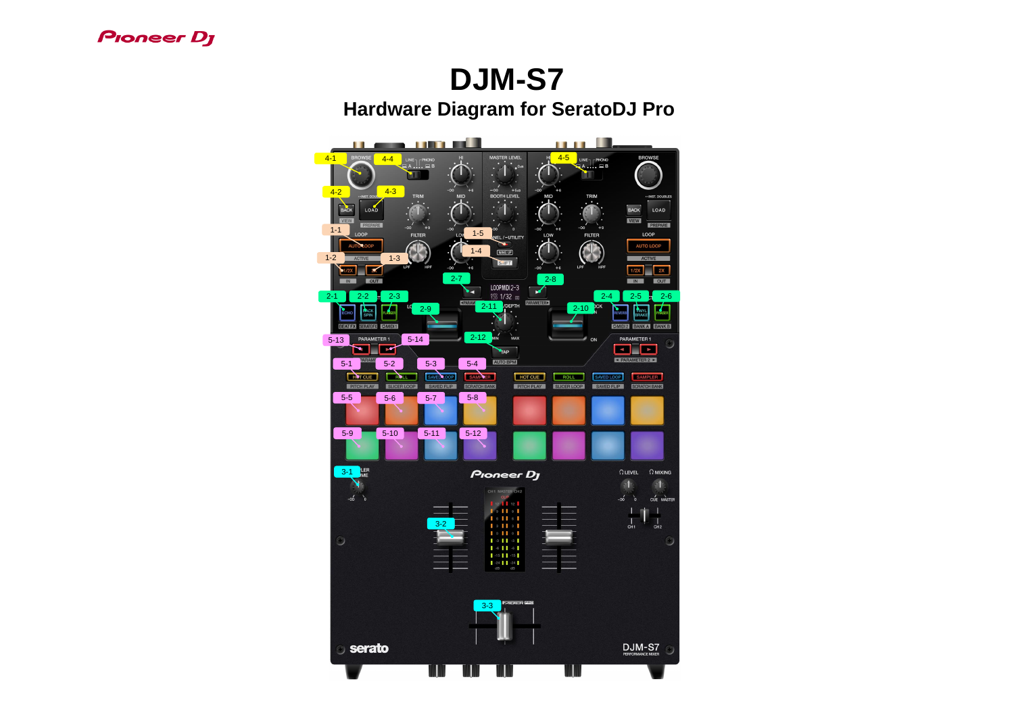## **Pioneer Dy**

## **DJM-S7 Hardware Diagram for SeratoDJ Pro**

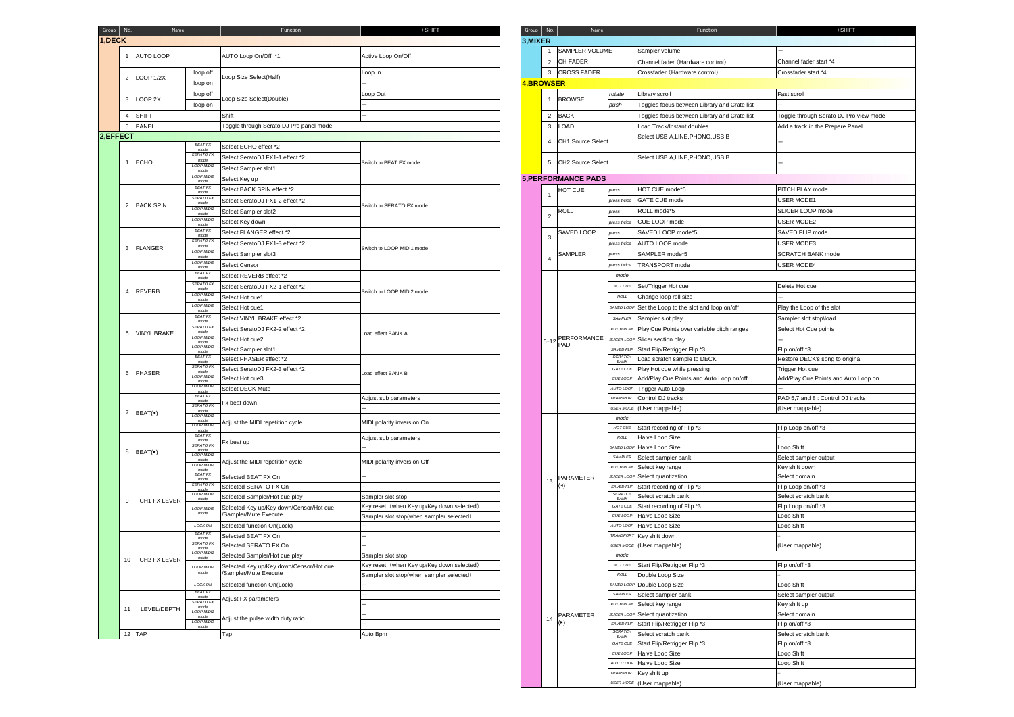|                             | Function                                | +SHIFT                                                                                | Group $\vert$ No. | Name                                  |                               | Function                                     | +SHIFT                                 |
|-----------------------------|-----------------------------------------|---------------------------------------------------------------------------------------|-------------------|---------------------------------------|-------------------------------|----------------------------------------------|----------------------------------------|
|                             |                                         |                                                                                       | 3, MIXER          |                                       |                               |                                              |                                        |
|                             |                                         |                                                                                       |                   | <b>SAMPLER VOLUME</b><br>$\mathbf{1}$ |                               | Sampler volume                               |                                        |
|                             | AUTO Loop On/Off *1                     | Active Loop On/Off                                                                    |                   |                                       |                               |                                              |                                        |
|                             |                                         |                                                                                       |                   | $\overline{2}$<br><b>CH FADER</b>     |                               | Channel fader (Hardware control)             | Channel fader start *4                 |
| op off                      | Loop Size Select(Half)                  | Loop in                                                                               |                   | <b>CROSS FADER</b><br>3               |                               | Crossfader (Hardware control)                | Crossfader start *4                    |
| op on                       |                                         |                                                                                       | <b>4,BROWSER</b>  |                                       |                               |                                              |                                        |
| op off                      | Loop Size Select(Double)                | Loop Out                                                                              |                   | <b>BROWSE</b><br>$\mathbf{1}$         | rotate                        | Library scroll                               | Fast scroll                            |
| op on                       |                                         |                                                                                       |                   |                                       | push                          | Toggles focus between Library and Crate list |                                        |
|                             | Shift                                   |                                                                                       |                   | 2 BACK                                |                               | Toggles focus between Library and Crate list | Toggle through Serato DJ Pro view mode |
|                             | Toggle through Serato DJ Pro panel mode |                                                                                       |                   | LOAD<br>3                             |                               | Load Track/Instant doubles                   | Add a track in the Prepare Panel       |
|                             |                                         |                                                                                       |                   | <b>CH1 Source Select</b><br>4         |                               | Select USB A, LINE, PHONO, USB B             |                                        |
| EAT FX<br>mode              | Select ECHO effect *2                   |                                                                                       |                   |                                       |                               | Select USB A, LINE, PHONO, USB B             |                                        |
| RATO FX<br>mode             | Select SeratoDJ FX1-1 effect *2         | Switch to BEAT FX mode                                                                |                   | 5 CH2 Source Select                   |                               |                                              |                                        |
| OP MIDI1<br>mode            | Select Sampler slot1                    |                                                                                       |                   |                                       |                               |                                              |                                        |
| OP MIDI2<br>mode            | Select Key up                           |                                                                                       |                   | <b>5, PERFORMANCE PADS</b>            |                               |                                              |                                        |
| EAT FX<br>mode              | Select BACK SPIN effect *2              |                                                                                       |                   | HOT CUE                               | press                         | HOT CUE mode*5                               | PITCH PLAY mode                        |
| RATO FX<br>mode             | Select SeratoDJ FX1-2 effect *2         | Switch to SERATO FX mode                                                              |                   | -1                                    | press twice                   | <b>GATE CUE mode</b>                         | USER MODE1                             |
| OP MIDI1<br>mode            | Select Sampler slot2                    |                                                                                       |                   | <b>ROLL</b>                           | press                         | ROLL mode*5                                  | SLICER LOOP mode                       |
| OP MIDI2                    | Select Key down                         |                                                                                       |                   | $\overline{2}$<br>SAVED LOOP          | press twice                   | CUE LOOP mode                                | <b>USER MODE2</b>                      |
| mode<br>EAT FX              | Select FLANGER effect *2                |                                                                                       |                   |                                       | press                         | SAVED LOOP mode*5                            | SAVED FLIP mode                        |
| mode<br>RATO FX             | Select SeratoDJ FX1-3 effect *2         | Switch to LOOP MIDI1 mode                                                             |                   | 3                                     | press twice                   | AUTO LOOP mode                               | <b>USER MODE3</b>                      |
| mode<br>OP MIDI1            |                                         |                                                                                       |                   | SAMPLER<br>$\overline{4}$             |                               | SAMPLER mode*5                               | <b>SCRATCH BANK mode</b>               |
| mode<br>OP MIDI2            | Select Sampler slot3                    |                                                                                       |                   |                                       | press                         |                                              | <b>USER MODE4</b>                      |
| mode<br>EAT FX              | Select Censor                           |                                                                                       |                   |                                       | press twice                   | TRANSPORT mode                               |                                        |
| mode<br>RATO FX             | Select REVERB effect *2                 |                                                                                       |                   |                                       | mode                          |                                              |                                        |
| mode<br>OP MIDI1            | Select SeratoDJ FX2-1 effect *2         | Switch to LOOP MIDI2 mode                                                             |                   |                                       | HOT CUE                       | Set/Trigger Hot cue                          | Delete Hot cue                         |
| mode<br>OP MIDI2            | Select Hot cue1                         |                                                                                       |                   |                                       | <b>ROLL</b>                   | Change loop roll size                        |                                        |
| mode                        | Select Hot cue1                         |                                                                                       |                   |                                       | SAVED LOOP                    | Set the Loop to the slot and loop on/off     | Play the Loop of the slot              |
| EAT FX<br>mode              | Select VINYL BRAKE effect *2            |                                                                                       |                   |                                       | SAMPLER                       | Sampler slot play                            | Sampler slot stop\load                 |
| RATO FX<br>mode             | Select SeratoDJ FX2-2 effect *2         | oad effect BANK A                                                                     |                   |                                       | PITCH PLAY                    | Play Cue Points over variable pitch ranges   | Select Hot Cue points                  |
| OP MIDI1<br>mode            | Select Hot cue2                         |                                                                                       |                   | PERFORMANCE<br>$ 5-12 $ PAD           |                               | SLICER LOOP Slicer section play              |                                        |
| OP MIDI2<br>mode            | Select Sampler slot1                    |                                                                                       |                   |                                       | SAVED FLIP                    | Start Flip/Retrigger Flip *3                 | Flip on/off *3                         |
| EAT FX<br>mode              | Select PHASER effect *2                 | Load effect BANK B                                                                    |                   |                                       | <b>SCRATCH</b><br>BANK        | Load scratch sample to DECK                  | Restore DECK's song to original        |
| RATO FX<br>mode<br>OP MIDI1 | Select SeratoDJ FX2-3 effect *2         |                                                                                       |                   |                                       | GATE CUE                      | Play Hot cue while pressing                  | Trigger Hot cue                        |
| mode<br>OP MIDI2            | Select Hot cue3                         |                                                                                       |                   |                                       | CUE LOOP                      | Add/Play Cue Points and Auto Loop on/off     | Add/Play Cue Points and Auto Loop on   |
| mode<br>EAT FX              | Select DECK Mute                        |                                                                                       |                   |                                       |                               | AUTO LOOP Trigger Auto Loop                  |                                        |
| mode<br>RATO FX             | Fx beat down                            | Adjust sub parameters                                                                 |                   |                                       |                               | TRANSPORT Control DJ tracks                  | PAD 5,7 and 8 : Control DJ tracks      |
| mode<br>OP MIDI1            |                                         |                                                                                       |                   |                                       |                               | USER MODE (User mappable)                    | (User mappable)                        |
| mode<br>OP MIDI2            | Adjust the MIDI repetition cycle        | MIDI polarity inversion On                                                            |                   |                                       | mode<br>HOT CUE               | Start recording of Flip *3                   |                                        |
| mode<br>EAT FX              |                                         |                                                                                       |                   |                                       | ROLL                          | Halve Loop Size                              | Flip Loop on/off *3                    |
| mode<br>RATO FX             | Fx beat up                              | Adjust sub parameters                                                                 |                   |                                       |                               | SAVED LOOP Halve Loop Size                   | Loop Shift                             |
| mode<br>OP MIDI1            |                                         |                                                                                       |                   |                                       | SAMPLER                       | Select sampler bank                          | Select sampler output                  |
| mode<br>OP MIDI2            | Adjust the MIDI repetition cycle        | MIDI polarity inversion Off                                                           |                   |                                       | PITCH PLAY                    | Select key range                             | Key shift down                         |
| mode<br>EAT FX              | Selected BEAT FX On                     |                                                                                       |                   | PARAMETER                             |                               | SLICER LOOP Select quantization              | Select domain                          |
| mode<br>RATO FX             | Selected SERATO FX On                   |                                                                                       |                   | 13<br>(4)                             | SAVED FLIP                    | Start recording of Flip *3                   | Flip Loop on/off *3                    |
| mode<br>OP MIDI1<br>mode    | Selected Sampler/Hot cue play           | Sampler slot stop                                                                     |                   |                                       | <b>SCRATCH</b><br>BANK        | Select scratch bank                          | Select scratch bank                    |
| OP MIDI2                    | Selected Key up/Key down/Censor/Hot cue | Key reset (when Key up/Key down selected)<br>Sampler slot stop(when sampler selected) |                   |                                       | GATE CUE                      | Start recording of Flip *3                   | Flip Loop on/off *3                    |
| mode                        | /Sampler/Mute Execute                   |                                                                                       |                   |                                       | CUE LOOP                      | Halve Loop Size                              | Loop Shift                             |
| DCK ON                      | Selected function On(Lock)              |                                                                                       |                   |                                       | AUTO LOOP                     | Halve Loop Size                              | Loop Shift                             |
| EAT FX<br>mode              | Selected BEAT FX On                     |                                                                                       |                   |                                       | <b>TRANSPORT</b>              | Key shift down                               |                                        |
| RATO FX<br>mode             | Selected SERATO FX On                   |                                                                                       |                   |                                       | <b>USER MODE</b>              | (User mappable)                              | (User mappable)                        |
| OP MIDI1<br>mode            | Selected Sampler/Hot cue play           | Sampler slot stop                                                                     |                   |                                       | mode                          |                                              |                                        |
| OP MIDI2                    | Selected Key up/Key down/Censor/Hot cue | Key reset (when Key up/Key down selected)                                             |                   | HOT CUE                               | Start Flip/Retrigger Flip *3  | Flip on/off *3                               |                                        |
| mode                        | /Sampler/Mute Execute                   | Sampler slot stop(when sampler selected)                                              |                   |                                       | ROLL                          | Double Loop Size                             |                                        |
| DCK ON                      | Selected function On(Lock)              |                                                                                       |                   |                                       | SAVED LOOP                    | Double Loop Size                             | Loop Shift                             |
| EAT FX<br>mode<br>RATO FX   | Adjust FX parameters                    |                                                                                       |                   |                                       | SAMPLER                       | Select sampler bank                          | Select sampler output                  |
| mode<br>OP MIDI1            |                                         |                                                                                       |                   |                                       | PITCH PLAY                    | Select key range                             | Key shift up                           |
| mode<br>OP MIDI2            | Adjust the pulse width duty ratio       |                                                                                       |                   | PARAMETER<br>14                       |                               | SLICER LOOP Select quantization              | Select domain                          |
| mode                        |                                         |                                                                                       |                   | $(\blacktriangleright)$               | SAVED FLIP<br><b>SCRATCH</b>  | Start Flip/Retrigger Flip *3                 | Flip on/off *3                         |
|                             | Tap                                     | Auto Bpm                                                                              |                   |                                       | BANK                          | Select scratch bank                          | Select scratch bank                    |
|                             |                                         |                                                                                       |                   |                                       | GATE CUE                      | Start Flip/Retrigger Flip *3                 | Flip on/off *3                         |
|                             |                                         |                                                                                       |                   |                                       | CUE LOOP                      | Halve Loop Size                              | Loop Shift                             |
|                             |                                         |                                                                                       |                   |                                       | AUTO LOOP<br><b>TRANSPORT</b> | Halve Loop Size                              | Loop Shift                             |
|                             |                                         |                                                                                       |                   |                                       |                               | Key shift up<br>USER MODE (User mappable)    |                                        |
|                             |                                         |                                                                                       |                   |                                       |                               |                                              | (User mappable)                        |

| Group No.                       | Name                       | Function                                | +SHIFT                                              |           | Group No.      | Name                       |                        | Function                                            | +SHIFT                                 |
|---------------------------------|----------------------------|-----------------------------------------|-----------------------------------------------------|-----------|----------------|----------------------------|------------------------|-----------------------------------------------------|----------------------------------------|
| $1,$ DECK                       |                            |                                         |                                                     | 3, MIXER  |                |                            |                        |                                                     |                                        |
| -1                              |                            | AUTO Loop On/Off *1                     |                                                     |           | $\overline{1}$ | <b>SAMPLER VOLUME</b>      |                        | Sampler volume                                      |                                        |
| AUTO LOOP                       |                            |                                         | Active Loop On/Off                                  |           |                | 2 CH FADER                 |                        | Channel fader (Hardware control)                    | Channel fader start *4                 |
|                                 | loop off                   |                                         | Loop in                                             |           |                | 3 CROSS FADER              |                        | Crossfader (Hardware control)                       | Crossfader start *4                    |
| 2 LOOP 1/2X                     | loop on                    | Loop Size Select(Half)                  |                                                     | 4,BROWSER |                |                            |                        |                                                     |                                        |
|                                 | loop off                   |                                         | Loop Out                                            |           |                |                            | rotate                 | Library scroll                                      | Fast scroll                            |
| 3 LOOP 2X                       |                            | Loop Size Select(Double)                |                                                     |           |                | 1 BROWSE                   |                        | Toggles focus between Library and Crate list        |                                        |
| 4 SHIFT                         | loop on                    |                                         |                                                     |           |                |                            | push                   |                                                     |                                        |
|                                 |                            | Shift                                   |                                                     |           |                | 2 BACK                     |                        | Toggles focus between Library and Crate list        | Toggle through Serato DJ Pro view mode |
| PANEL                           |                            | Toggle through Serato DJ Pro panel mode |                                                     |           |                | 3 LOAD                     |                        | Load Track/Instant doubles                          | Add a track in the Prepare Panel       |
|                                 | <b>BEAT FX</b>             |                                         |                                                     |           |                | 4 CH1 Source Select        |                        | Select USB A, LINE, PHONO, USB B                    |                                        |
|                                 | mode                       | Select ECHO effect *2                   |                                                     |           |                |                            |                        |                                                     |                                        |
| ECHO                            | SERATO FX<br>mode          | Select SeratoDJ FX1-1 effect *2         | Switch to BEAT FX mode                              |           |                | 5 CH2 Source Select        |                        | Select USB A, LINE, PHONO, USB B                    |                                        |
|                                 | LOOP MIDI1<br>mode         | Select Sampler slot1                    |                                                     |           |                |                            |                        |                                                     |                                        |
|                                 | LOOP MIDI2<br>mode         | Select Key up                           |                                                     |           |                | <b>5, PERFORMANCE PADS</b> |                        |                                                     |                                        |
|                                 | <b>BEAT FX</b><br>mode     | Select BACK SPIN effect *2              |                                                     |           |                | HOT CUE                    | press                  | HOT CUE mode*5                                      | PITCH PLAY mode                        |
|                                 | SERATO FX<br>mode          | Select SeratoDJ FX1-2 effect *2         | Switch to SERATO FX mode                            |           |                |                            | press twice            | <b>GATE CUE mode</b>                                | <b>USER MODE1</b>                      |
| 2 BACK SPIN                     | LOOP MIDI1<br>mode         | Select Sampler slot2                    |                                                     |           |                | <b>ROLL</b>                | press                  | ROLL mode*5                                         | SLICER LOOP mode                       |
|                                 | LOOP MIDI2                 | Select Key down                         |                                                     |           | $\overline{2}$ |                            | press twice            | CUE LOOP mode                                       | <b>USER MODE2</b>                      |
|                                 | mode<br><b>BEAT FX</b>     | Select FLANGER effect *2                |                                                     |           |                | SAVED LOOP                 | press                  | SAVED LOOP mode*5                                   | SAVED FLIP mode                        |
|                                 | mode<br><b>SERATO FX</b>   | Select SeratoDJ FX1-3 effect *2         |                                                     |           | 3              |                            | press twice            | AUTO LOOP mode                                      | <b>USER MODE3</b>                      |
| 3 FLANGER                       | mode<br>LOOP MIDI1         |                                         | Switch to LOOP MIDI1 mode                           |           |                |                            |                        |                                                     |                                        |
|                                 | mode<br>LOOP MIDI2         | Select Sampler slot3                    |                                                     |           | $\overline{4}$ | <b>SAMPLER</b>             | press                  | SAMPLER mode*5                                      | <b>SCRATCH BANK mode</b>               |
|                                 | mode                       | <b>Select Censor</b>                    |                                                     |           |                |                            | press twice            | <b>TRANSPORT</b> mode                               | <b>USER MODE4</b>                      |
|                                 | <b>BEAT FX</b><br>mode     | Select REVERB effect *2                 |                                                     |           |                |                            | mode                   |                                                     |                                        |
| 4 REVERB                        | SERATO FX<br>mode          | Select SeratoDJ FX2-1 effect *2         | Switch to LOOP MIDI2 mode                           |           |                |                            | HOT CUE                | Set/Trigger Hot cue                                 | Delete Hot cue                         |
|                                 | LOOP MIDI1<br>mode         | Select Hot cue1                         |                                                     |           |                |                            | <b>ROLL</b>            | Change loop roll size                               |                                        |
|                                 | LOOP MIDI2<br>mode         | Select Hot cue1                         |                                                     |           |                |                            |                        | SAVED LOOP Set the Loop to the slot and loop on/off | Play the Loop of the slot              |
|                                 | <b>BEAT FX</b><br>mode     | Select VINYL BRAKE effect *2            |                                                     |           |                |                            | SAMPLER                | Sampler slot play                                   | Sampler slot stop\load                 |
|                                 | SERATO FX<br>mode          | Select SeratoDJ FX2-2 effect *2         |                                                     |           |                |                            | PITCH PLAY             | Play Cue Points over variable pitch ranges          | Select Hot Cue points                  |
| 5 VINYL BRAKE                   | LOOP MIDI1<br>mode         | Select Hot cue2                         | Load effect BANK A                                  |           |                | 5-12 PERFORMANCE           |                        | SLICER LOOP Slicer section play                     |                                        |
|                                 | LOOP MIDI2<br>mode         | Select Sampler slot1                    |                                                     |           |                |                            |                        | SAVED FLIP Start Flip/Retrigger Flip *3             | Flip on/off *3                         |
|                                 | <b>BEAT FX</b><br>mode     | Select PHASER effect *2                 |                                                     |           |                |                            | <b>SCRATCH</b><br>BANK | Load scratch sample to DECK                         | Restore DECK's song to original        |
| 6 PHASER                        | SERATO FX<br>mode          | Select SeratoDJ FX2-3 effect *2         | Load effect BANK B                                  |           |                |                            | GATE CUE               | Play Hot cue while pressing                         | Trigger Hot cue                        |
|                                 | LOOP MIDI1<br>mode         | Select Hot cue3                         |                                                     |           |                |                            | CUE LOOP               | Add/Play Cue Points and Auto Loop on/off            | Add/Play Cue Points and Auto Loop on   |
|                                 | LOOP MIDI2<br>mode         | Select DECK Mute                        |                                                     |           |                |                            |                        | AUTO LOOP Trigger Auto Loop                         |                                        |
| BEAT(4)                         | <b>BEAT FX</b><br>mode     |                                         | Adjust sub parameters<br>MIDI polarity inversion On |           |                |                            |                        | TRANSPORT Control DJ tracks                         | PAD 5,7 and 8 : Control DJ tracks      |
|                                 | SERATO FX<br>mode          | Fx beat down                            |                                                     |           |                |                            |                        | USER MODE (User mappable)                           | (User mappable)                        |
|                                 | LOOP MIDI1<br>mode         |                                         |                                                     |           |                |                            | mode                   |                                                     |                                        |
|                                 | LOOP MIDI2<br>mode         | Adjust the MIDI repetition cycle        |                                                     |           |                |                            | HOT CUE                | Start recording of Flip *3                          | Flip Loop on/off *3                    |
| 8 BEAT( $\blacktriangleright$ ) | <b>BEAT FX</b><br>mode     |                                         | Adjust sub parameters                               |           |                |                            | ROLL                   | Halve Loop Size                                     |                                        |
|                                 | SERATO FX<br>mode          | Fx beat up                              |                                                     |           |                |                            |                        | SAVED LOOP Halve Loop Size                          | Loop Shift                             |
|                                 | LOOP MIDI1<br>mode         |                                         |                                                     |           |                |                            | SAMPLER                | Select sampler bank                                 | Select sampler output                  |
|                                 | LOOP MIDI2<br>mode         | Adjust the MIDI repetition cycle        | MIDI polarity inversion Off                         |           |                |                            |                        | PITCH PLAY Select key range                         | Key shift down                         |
| CH1 FX LEVER<br>9               | <b>BEAT FX</b><br>mode     | Selected BEAT FX On                     |                                                     |           |                | PARAMETER                  |                        | SLICER LOOP Select quantization                     | Select domain                          |
|                                 | SERATO FX<br>mode          | Selected SERATO FX On                   |                                                     |           | 13             | (4)                        | SAVED FLIP             | Start recording of Flip *3                          | Flip Loop on/off *3                    |
|                                 | LOOP MIDI1<br>mode         | Selected Sampler/Hot cue play           | Sampler slot stop                                   |           |                |                            | <b>SCRATCH</b><br>BANK | Select scratch bank                                 | Select scratch bank                    |
|                                 | LOOP MIDI2                 | Selected Key up/Key down/Censor/Hot cue | Key reset (when Key up/Key down selected)           |           |                |                            | <b>GATE CUE</b>        | Start recording of Flip *3                          | Flip Loop on/off *3                    |
|                                 | mode                       | /Sampler/Mute Execute                   | Sampler slot stop(when sampler selected)            |           |                |                            | CUE LOOP               | <b>Halve Loop Size</b>                              | Loop Shift                             |
|                                 | <b>LOCK ON</b>             | Selected function On(Lock)              |                                                     |           |                |                            | AUTO LOOP              | <b>Halve Loop Size</b>                              | Loop Shift                             |
|                                 | <b>BEAT FX</b><br>mode     | Selected BEAT FX On                     |                                                     |           |                |                            | TRANSPORT              | Key shift down                                      |                                        |
|                                 | SERATO FX                  | Selected SERATO FX On                   |                                                     |           |                |                            |                        | USER MODE (User mappable)                           | (User mappable)                        |
|                                 | mode<br>LOOP MIDI1<br>mode | Selected Sampler/Hot cue play           | Sampler slot stop                                   |           |                |                            | mode                   |                                                     |                                        |
| CH2 FX LEVER<br>10 <sup>1</sup> | LOOP MIDI2                 | Selected Key up/Key down/Censor/Hot cue | Key reset (when Key up/Key down selected)           |           |                |                            | HOT CUE                | Start Flip/Retrigger Flip *3                        | Flip on/off *3                         |
|                                 | mode                       | /Sampler/Mute Execute                   | Sampler slot stop(when sampler selected)            |           |                |                            | ROLL                   | Double Loop Size                                    |                                        |
|                                 | <b>LOCK ON</b>             | Selected function On(Lock)              |                                                     |           |                |                            | SAVED LOOP             | Double Loop Size                                    | Loop Shift                             |
|                                 | <b>BEAT FX</b><br>mode     |                                         |                                                     |           |                |                            | SAMPLER                | Select sampler bank                                 | Select sampler output                  |
| LEVEL/DEPTH                     | SERATO FX<br>mode          | Adjust FX parameters                    |                                                     |           |                |                            | PITCH PLAY             | Select key range                                    | Key shift up                           |
|                                 | LOOP MIDI1<br>mode         |                                         |                                                     |           |                | PARAMETER                  |                        | SLICER LOOP Select quantization                     | Select domain                          |
|                                 | LOOP MIDI2<br>mode         | Adjust the pulse width duty ratio       |                                                     |           | 14             | $(\blacktriangleright)$    | SAVED FLIP             | Start Flip/Retrigger Flip *3                        | Flip on/off *3                         |
| $12$ TAP                        |                            | Tap                                     | Auto Bpm                                            |           |                |                            | SCRATCH<br>BANK        | Select scratch bank                                 | Select scratch bank                    |
|                                 |                            |                                         |                                                     |           |                |                            |                        |                                                     |                                        |